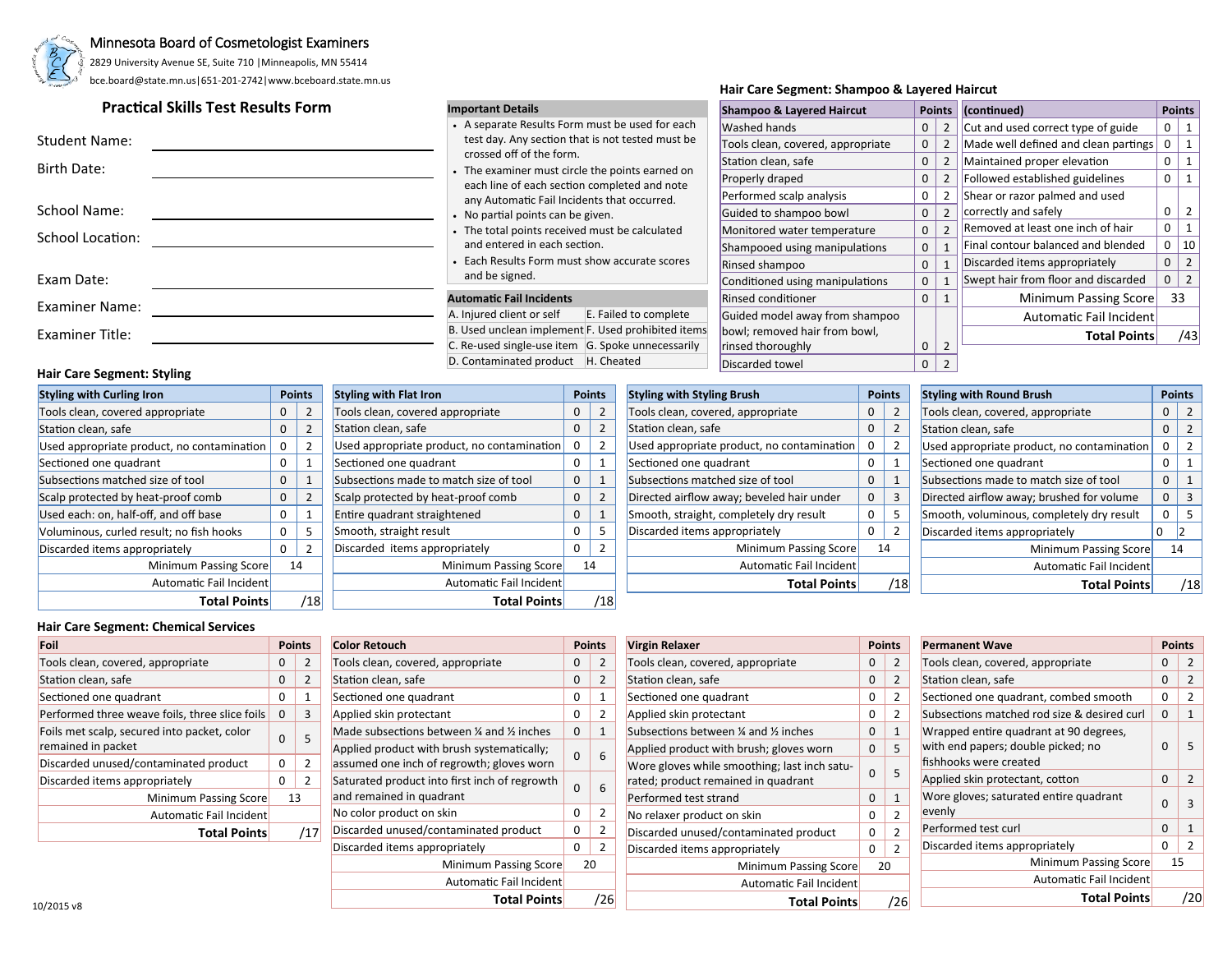

#### Minnesota Board of Cosmetologist Examiners

2829 University Avenue SE, Suite 710 |Minneapolis, MN 55414 bce.board@state.mn.us|651-201-2742|www.bceboard.state.mn.us

# **Practical Skills Test Results Form**

| <b>Student Name:</b>    |  |
|-------------------------|--|
| <b>Birth Date:</b>      |  |
|                         |  |
| School Name:            |  |
| <b>School Location:</b> |  |
|                         |  |
| Exam Date:              |  |
| <b>Examiner Name:</b>   |  |
| <b>Examiner Title:</b>  |  |

#### **Hair Care Segment: Styling**

| <b>Styling with Curling Iron</b>           |   | <b>Points</b> |
|--------------------------------------------|---|---------------|
| Tools clean, covered appropriate           | 0 | 2             |
| Station clean, safe                        | 0 | 2             |
| Used appropriate product, no contamination | 0 | 2             |
| Sectioned one quadrant                     |   | $\mathbf{1}$  |
| Subsections matched size of tool           |   | 1             |
| Scalp protected by heat-proof comb         |   | 2             |
| Used each: on, half-off, and off base      | 0 | 1             |
| Voluminous, curled result; no fish hooks   | U | 5             |
| Discarded items appropriately              |   | 2             |
| Minimum Passing Score                      |   | 14            |
| Automatic Fail Incident                    |   |               |
| <b>Total Points</b>                        |   |               |

#### **Important Details**

- A separate Results Form must be used for each test day. Any section that is not tested must be crossed off of the form.
- The examiner must circle the points earned on each line of each section completed and note any Automatic Fail Incidents that occurred.
- No partial points can be given.
- The total points received must be calculated and entered in each section.
- Each Results Form must show accurate scores and be signed.

#### **Automatic Fail Incidents**

Minimum Passing Score 14 Automatic Fail Incident

**Total Points** /18

**Styling with Flat Iron Points** Tools clean, covered appropriate 0 2 Station clean, safe 0 2 Used appropriate product, no contamination  $\begin{vmatrix} 0 & 2 \end{vmatrix}$ Sectioned one quadrant 0 1 Subsections made to match size of tool 0 1 Scalp protected by heat-proof comb 0 2 Entire quadrant straightened 0 1 Smooth, straight result 0 5 Discarded items appropriately 0 2

A. Injured client or self<br>
E. Failed to complete B. Used unclean implement F. Used prohibited items C. Re-used single-use item  $\overline{G}$ . Spoke unnecessarily D. Contaminated product |H. Cheated

## Discarded towel 0 2 **Styling with Styling Brush Points** Tools clean, covered, appropriate 0 2 Station clean, safe 0 2 Used appropriate product, no contamination 0 2 Sectioned one quadrant 0 1 Subsections matched size of tool 0 1 Directed airflow away; beveled hair under  $\begin{vmatrix} 0 & 3 \end{vmatrix}$ Smooth, straight, completely dry result 0 5 Discarded items appropriately 0 2 Minimum Passing Score 14 Automatic Fail Incident **Total Points** /18

**Hair Care Segment: Shampoo & Layered Haircut**

**Shampoo & Layered Haircut Points** Washed hands 0 2 Tools clean, covered, appropriate 0 2 Station clean, safe  $\begin{array}{ccc} 0 & 2 \end{array}$ Properly draped 0 2 Performed scalp analysis 0 2 Guided to shampoo bowl 0 2 Monitored water temperature 0 2 Shampooed using manipulations 0 1 Rinsed shampoo 0 1 Conditioned using manipulations 0 1 Rinsed conditioner 0 1 Guided model away from shampoo bowl; removed hair from bowl,

 $\left| \right|$  rinsed thoroughly  $\left| \right|$  0  $\left| \right|$  2

| <b>Styling with Round Brush</b>            | <b>Points</b> |                |  |
|--------------------------------------------|---------------|----------------|--|
| Tools clean, covered, appropriate          |               | $\overline{2}$ |  |
| Station clean, safe                        | 0             | 2              |  |
| Used appropriate product, no contamination | 0             | 2              |  |
| Sectioned one quadrant                     | 0             | $\mathbf{1}$   |  |
| Subsections made to match size of tool     |               | $\mathbf{1}$   |  |
| Directed airflow away; brushed for volume  |               | $\mathbf{a}$   |  |
| Smooth, voluminous, completely dry result  |               | 5              |  |
| Discarded items appropriately              |               | 2              |  |
| Minimum Passing Score                      |               | 14             |  |
| <b>Automatic Fail Incident</b>             |               |                |  |
| <b>Total Points</b>                        |               |                |  |

**(continued) Points** Cut and used correct type of guide 0 1 Made well defined and clean partings  $\begin{bmatrix} 0 & 1 \end{bmatrix}$ Maintained proper elevation 0 1 Followed established guidelines 0 1

correctly and safely 0 2 Removed at least one inch of hair 0 1 Final contour balanced and blended 0 10 Discarded items appropriately 0 2 Swept hair from floor and discarded  $\begin{vmatrix} 0 & 2 \end{vmatrix}$ 

> Minimum Passing Score 33 Automatic Fail Incident

> > **Total Points** /43

Shear or razor palmed and used

#### **Hair Care Segment: Chemical Services**

| Foil                                           | <b>Points</b><br><b>Color Retouch</b> |     |                                               |              |     |                                              |                |                |                                             |          |     |  |  |  | <b>Points</b> | <b>Virgin Relaxer</b> |  | <b>Points</b> | <b>Permanent Wave</b> |  | <b>Points</b> |
|------------------------------------------------|---------------------------------------|-----|-----------------------------------------------|--------------|-----|----------------------------------------------|----------------|----------------|---------------------------------------------|----------|-----|--|--|--|---------------|-----------------------|--|---------------|-----------------------|--|---------------|
| Tools clean, covered, appropriate              | 0                                     |     | Tools clean, covered, appropriate             | $\mathbf 0$  |     | Tools clean, covered, appropriate            | 0 <sup>1</sup> | $\overline{2}$ | Tools clean, covered, appropriate           | 0        |     |  |  |  |               |                       |  |               |                       |  |               |
| Station clean, safe                            | $\mathbf{0}$                          |     | Station clean, safe                           | $\mathbf{0}$ |     | Station clean, safe                          | $\mathbf{0}$   | $\overline{2}$ | Station clean, safe                         | $\Omega$ |     |  |  |  |               |                       |  |               |                       |  |               |
| Sectioned one quadrant                         |                                       |     | Sectioned one quadrant                        | 0            |     | Sectioned one quadrant                       | 0              |                | Sectioned one quadrant, combed smooth       |          |     |  |  |  |               |                       |  |               |                       |  |               |
| Performed three weave foils, three slice foils |                                       |     | Applied skin protectant                       | $\mathbf{0}$ |     | Applied skin protectant                      | 0              |                | Subsections matched rod size & desired curl | 0        |     |  |  |  |               |                       |  |               |                       |  |               |
| Foils met scalp, secured into packet, color    |                                       |     | Made subsections between 1/4 and 1/2 inches   | $\mathbf{0}$ |     | Subsections between 1/4 and 1/2 inches       | 0 <sup>1</sup> |                | Wrapped entire quadrant at 90 degrees,      |          |     |  |  |  |               |                       |  |               |                       |  |               |
| remained in packet                             |                                       |     | Applied product with brush systematically;    |              |     | Applied product with brush; gloves worn      | $0-1$          | 5              | with end papers; double picked; no          | $\Omega$ |     |  |  |  |               |                       |  |               |                       |  |               |
| Discarded unused/contaminated product          |                                       |     | assumed one inch of regrowth; gloves worn     |              |     | Wore gloves while smoothing; last inch satu- |                |                | fishhooks were created                      |          |     |  |  |  |               |                       |  |               |                       |  |               |
| Discarded items appropriately                  | 0                                     |     | Saturated product into first inch of regrowth |              |     | rated; product remained in quadrant          |                |                | Applied skin protectant, cotton             | 0        |     |  |  |  |               |                       |  |               |                       |  |               |
| Minimum Passing Score                          | 13                                    |     | and remained in quadrant                      |              | 6   | Performed test strand                        | 0              |                | Wore gloves; saturated entire quadrant      |          |     |  |  |  |               |                       |  |               |                       |  |               |
| Automatic Fail Incident                        |                                       |     | No color product on skin                      | 0            |     | No relaxer product on skin                   | 0 <sup>1</sup> |                | evenly                                      |          |     |  |  |  |               |                       |  |               |                       |  |               |
| <b>Total Points</b>                            |                                       | /17 | Discarded unused/contaminated product         | $\mathbf 0$  |     | Discarded unused/contaminated product        | 0 <sup>1</sup> |                | Performed test curl                         |          |     |  |  |  |               |                       |  |               |                       |  |               |
|                                                |                                       |     | Discarded items appropriately                 | $\mathbf{0}$ |     | Discarded items appropriately                | 0              |                | Discarded items appropriately               | 0        |     |  |  |  |               |                       |  |               |                       |  |               |
|                                                |                                       |     | Minimum Passing Score                         |              | 20  | Minimum Passing Score                        | 20             |                | Minimum Passing Score                       | 15       |     |  |  |  |               |                       |  |               |                       |  |               |
|                                                |                                       |     | Automatic Fail Incident                       |              |     | Automatic Fail Incident                      |                |                | Automatic Fail Incident                     |          |     |  |  |  |               |                       |  |               |                       |  |               |
| 0/2015 v.R                                     |                                       |     | <b>Total Points</b>                           |              | /26 | <b>Total Points</b>                          |                | /26            | <b>Total Points</b>                         |          | /20 |  |  |  |               |                       |  |               |                       |  |               |